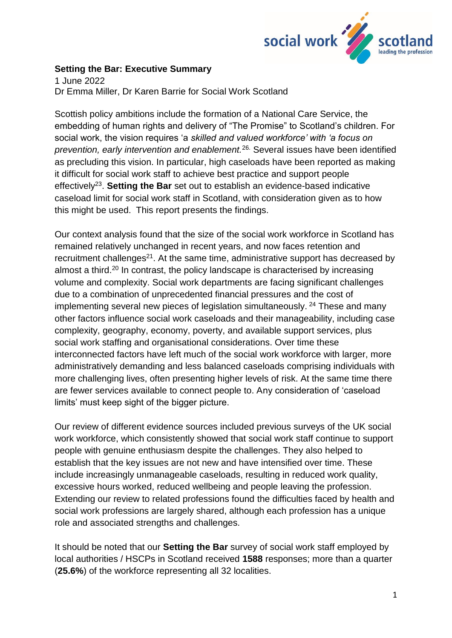

## **Setting the Bar: Executive Summary**

1 June 2022 Dr Emma Miller, Dr Karen Barrie for Social Work Scotland

Scottish policy ambitions include the formation of a National Care Service, the embedding of human rights and delivery of "The Promise" to Scotland's children. For social work, the vision requires 'a *skilled and valued workforce' with 'a focus on prevention, early intervention and enablement.*26. Several issues have been identified as precluding this vision. In particular, high caseloads have been reported as making it difficult for social work staff to achieve best practice and support people effectively<sup>23</sup>. Setting the Bar set out to establish an evidence-based indicative caseload limit for social work staff in Scotland, with consideration given as to how this might be used. This report presents the findings.

Our context analysis found that the size of the social work workforce in Scotland has remained relatively unchanged in recent years, and now faces retention and recruitment challenges<sup>21</sup>. At the same time, administrative support has decreased by almost a third.<sup>20</sup> In contrast, the policy landscape is characterised by increasing volume and complexity. Social work departments are facing significant challenges due to a combination of unprecedented financial pressures and the cost of implementing several new pieces of legislation simultaneously.<sup>24</sup> These and many other factors influence social work caseloads and their manageability, including case complexity, geography, economy, poverty, and available support services, plus social work staffing and organisational considerations. Over time these interconnected factors have left much of the social work workforce with larger, more administratively demanding and less balanced caseloads comprising individuals with more challenging lives, often presenting higher levels of risk. At the same time there are fewer services available to connect people to. Any consideration of 'caseload limits' must keep sight of the bigger picture.

Our review of different evidence sources included previous surveys of the UK social work workforce, which consistently showed that social work staff continue to support people with genuine enthusiasm despite the challenges. They also helped to establish that the key issues are not new and have intensified over time. These include increasingly unmanageable caseloads, resulting in reduced work quality, excessive hours worked, reduced wellbeing and people leaving the profession. Extending our review to related professions found the difficulties faced by health and social work professions are largely shared, although each profession has a unique role and associated strengths and challenges.

It should be noted that our **Setting the Bar** survey of social work staff employed by local authorities / HSCPs in Scotland received **1588** responses; more than a quarter (**25.6%**) of the workforce representing all 32 localities.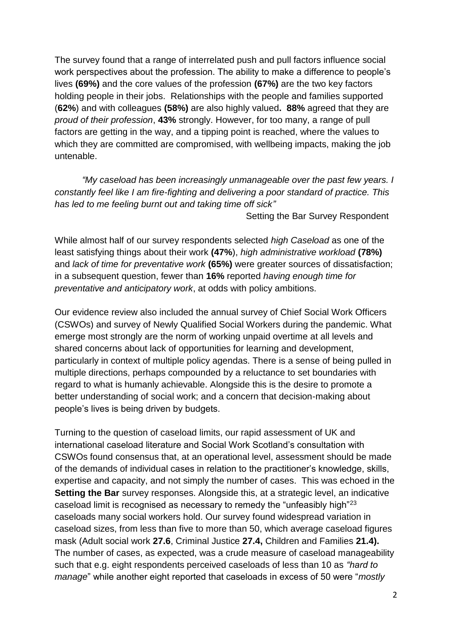The survey found that a range of interrelated push and pull factors influence social work perspectives about the profession. The ability to make a difference to people's lives **(69%)** and the core values of the profession **(67%)** are the two key factors holding people in their jobs. Relationships with the people and families supported (**62%**) and with colleagues **(58%)** are also highly valued**. 88%** agreed that they are *proud of their profession*, **43%** strongly. However, for too many, a range of pull factors are getting in the way, and a tipping point is reached, where the values to which they are committed are compromised, with wellbeing impacts, making the job untenable.

*"My caseload has been increasingly unmanageable over the past few years. I constantly feel like I am fire-fighting and delivering a poor standard of practice. This has led to me feeling burnt out and taking time off sick"*

Setting the Bar Survey Respondent

While almost half of our survey respondents selected *high Caseload* as one of the least satisfying things about their work **(47%**), *high administrative workload* **(78%)** and *lack of time for preventative work* **(65%)** were greater sources of dissatisfaction; in a subsequent question, fewer than **16%** reported *having enough time for preventative and anticipatory work*, at odds with policy ambitions.

Our evidence review also included the annual survey of Chief Social Work Officers (CSWOs) and survey of Newly Qualified Social Workers during the pandemic. What emerge most strongly are the norm of working unpaid overtime at all levels and shared concerns about lack of opportunities for learning and development, particularly in context of multiple policy agendas. There is a sense of being pulled in multiple directions, perhaps compounded by a reluctance to set boundaries with regard to what is humanly achievable. Alongside this is the desire to promote a better understanding of social work; and a concern that decision-making about people's lives is being driven by budgets.

Turning to the question of caseload limits, our rapid assessment of UK and international caseload literature and Social Work Scotland's consultation with CSWOs found consensus that, at an operational level, assessment should be made of the demands of individual cases in relation to the practitioner's knowledge, skills, expertise and capacity, and not simply the number of cases. This was echoed in the **Setting the Bar** survey responses. Alongside this, at a strategic level, an indicative caseload limit is recognised as necessary to remedy the "unfeasibly high"<sup>23</sup> caseloads many social workers hold. Our survey found widespread variation in caseload sizes, from less than five to more than 50, which average caseload figures mask (Adult social work **27.6**, Criminal Justice **27.4,** Children and Families **21.4).**  The number of cases, as expected, was a crude measure of caseload manageability such that e.g. eight respondents perceived caseloads of less than 10 as *"hard to manage*" while another eight reported that caseloads in excess of 50 were "*mostly*